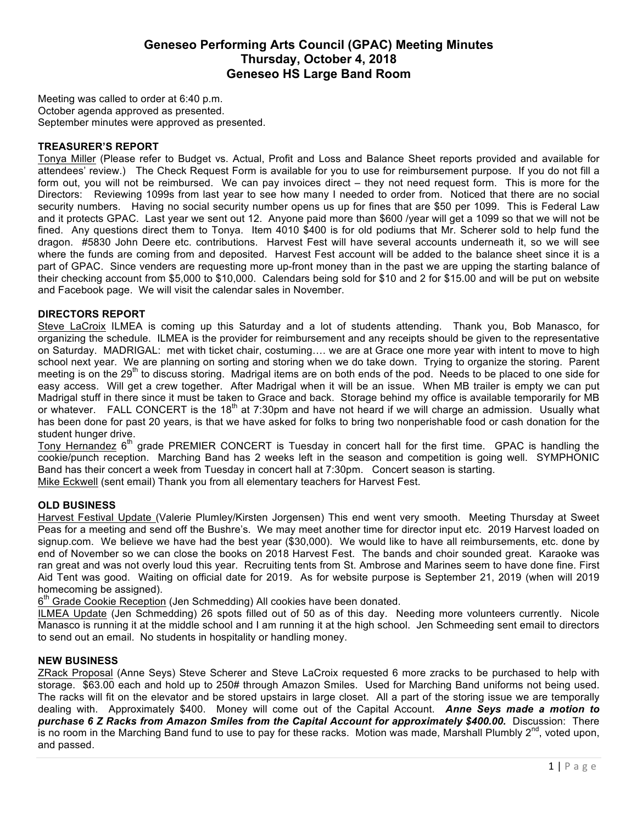# **Geneseo Performing Arts Council (GPAC) Meeting Minutes Thursday, October 4, 2018 Geneseo HS Large Band Room**

Meeting was called to order at 6:40 p.m. October agenda approved as presented. September minutes were approved as presented.

#### **TREASURER'S REPORT**

Tonya Miller (Please refer to Budget vs. Actual, Profit and Loss and Balance Sheet reports provided and available for attendees' review.) The Check Request Form is available for you to use for reimbursement purpose. If you do not fill a form out, you will not be reimbursed. We can pay invoices direct – they not need request form. This is more for the Directors: Reviewing 1099s from last year to see how many I needed to order from. Noticed that there are no social security numbers. Having no social security number opens us up for fines that are \$50 per 1099. This is Federal Law and it protects GPAC. Last year we sent out 12. Anyone paid more than \$600 /year will get a 1099 so that we will not be fined. Any questions direct them to Tonya. Item 4010 \$400 is for old podiums that Mr. Scherer sold to help fund the dragon. #5830 John Deere etc. contributions. Harvest Fest will have several accounts underneath it, so we will see where the funds are coming from and deposited. Harvest Fest account will be added to the balance sheet since it is a part of GPAC. Since venders are requesting more up-front money than in the past we are upping the starting balance of their checking account from \$5,000 to \$10,000. Calendars being sold for \$10 and 2 for \$15.00 and will be put on website and Facebook page. We will visit the calendar sales in November.

### **DIRECTORS REPORT**

Steve LaCroix ILMEA is coming up this Saturday and a lot of students attending. Thank you, Bob Manasco, for organizing the schedule. ILMEA is the provider for reimbursement and any receipts should be given to the representative on Saturday. MADRIGAL: met with ticket chair, costuming…. we are at Grace one more year with intent to move to high school next year. We are planning on sorting and storing when we do take down. Trying to organize the storing. Parent meeting is on the 29<sup>th</sup> to discuss storing. Madrigal items are on both ends of the pod. Needs to be placed to one side for easy access. Will get a crew together. After Madrigal when it will be an issue. When MB trailer is empty we can put Madrigal stuff in there since it must be taken to Grace and back. Storage behind my office is available temporarily for MB or whatever. FALL CONCERT is the 18<sup>th</sup> at 7:30pm and have not heard if we will charge an admission. Usually what has been done for past 20 years, is that we have asked for folks to bring two nonperishable food or cash donation for the student hunger drive.

Tony Hernandez  $6<sup>th</sup>$  grade PREMIER CONCERT is Tuesday in concert hall for the first time. GPAC is handling the cookie/punch reception. Marching Band has 2 weeks left in the season and competition is going well. SYMPHONIC Band has their concert a week from Tuesday in concert hall at 7:30pm. Concert season is starting.

Mike Eckwell (sent email) Thank you from all elementary teachers for Harvest Fest.

## **OLD BUSINESS**

Harvest Festival Update (Valerie Plumley/Kirsten Jorgensen) This end went very smooth. Meeting Thursday at Sweet Peas for a meeting and send off the Bushre's. We may meet another time for director input etc. 2019 Harvest loaded on signup.com. We believe we have had the best year (\$30,000). We would like to have all reimbursements, etc. done by end of November so we can close the books on 2018 Harvest Fest. The bands and choir sounded great. Karaoke was ran great and was not overly loud this year. Recruiting tents from St. Ambrose and Marines seem to have done fine. First Aid Tent was good. Waiting on official date for 2019. As for website purpose is September 21, 2019 (when will 2019 homecoming be assigned).

 $6<sup>th</sup>$  Grade Cookie Reception (Jen Schmedding) All cookies have been donated.

ILMEA Update (Jen Schmedding) 26 spots filled out of 50 as of this day. Needing more volunteers currently. Nicole Manasco is running it at the middle school and I am running it at the high school. Jen Schmeeding sent email to directors to send out an email. No students in hospitality or handling money.

#### **NEW BUSINESS**

ZRack Proposal (Anne Seys) Steve Scherer and Steve LaCroix requested 6 more zracks to be purchased to help with storage. \$63.00 each and hold up to 250# through Amazon Smiles. Used for Marching Band uniforms not being used. The racks will fit on the elevator and be stored upstairs in large closet. All a part of the storing issue we are temporally dealing with. Approximately \$400. Money will come out of the Capital Account. *Anne Seys made a motion to purchase 6 Z Racks from Amazon Smiles from the Capital Account for approximately \$400.00.* Discussion: There is no room in the Marching Band fund to use to pay for these racks. Motion was made, Marshall Plumbly  $2^{nd}$ , voted upon, and passed.